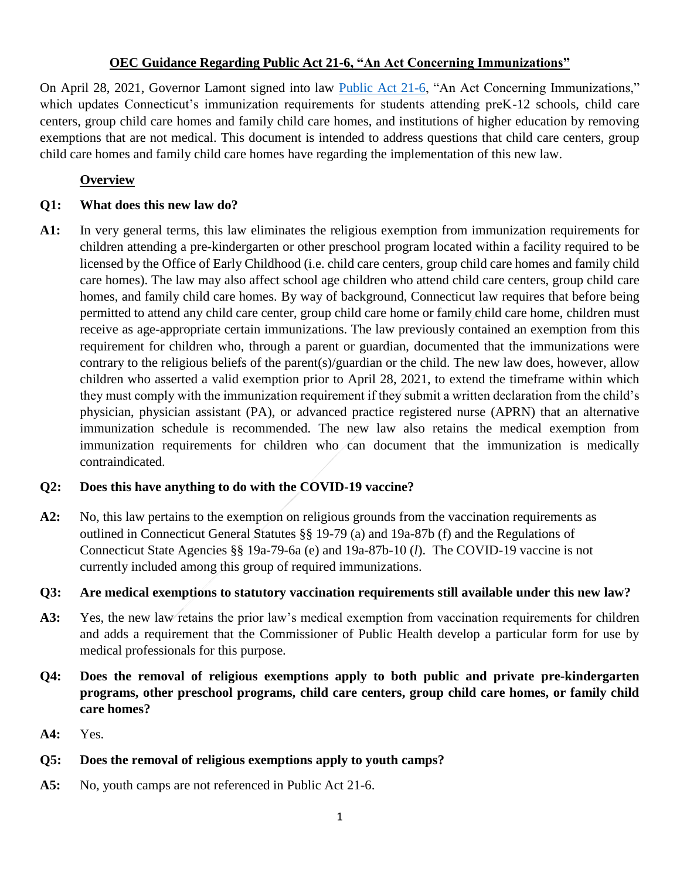#### **OEC Guidance Regarding Public Act 21-6, "An Act Concerning Immunizations"**

On April 28, 2021, Governor Lamont signed into law [Public Act 21-6,](https://www.cga.ct.gov/2021/ACT/PA/PDF/2021PA-00006-R00HB-06423-PA.PDF) "An Act Concerning Immunizations," which updates Connecticut's immunization requirements for students attending preK-12 schools, child care centers, group child care homes and family child care homes, and institutions of higher education by removing exemptions that are not medical. This document is intended to address questions that child care centers, group child care homes and family child care homes have regarding the implementation of this new law.

## **Overview**

## **Q1: What does this new law do?**

**A1:** In very general terms, this law eliminates the religious exemption from immunization requirements for children attending a pre-kindergarten or other preschool program located within a facility required to be licensed by the Office of Early Childhood (i.e. child care centers, group child care homes and family child care homes). The law may also affect school age children who attend child care centers, group child care homes, and family child care homes. By way of background, Connecticut law requires that before being permitted to attend any child care center, group child care home or family child care home, children must receive as age-appropriate certain immunizations. The law previously contained an exemption from this requirement for children who, through a parent or guardian, documented that the immunizations were contrary to the religious beliefs of the parent(s)/guardian or the child. The new law does, however, allow children who asserted a valid exemption prior to April 28, 2021, to extend the timeframe within which they must comply with the immunization requirement if they submit a written declaration from the child's physician, physician assistant (PA), or advanced practice registered nurse (APRN) that an alternative immunization schedule is recommended. The new law also retains the medical exemption from immunization requirements for children who can document that the immunization is medically contraindicated.

## **Q2: Does this have anything to do with the COVID-19 vaccine?**

**A2:** No, this law pertains to the exemption on religious grounds from the vaccination requirements as outlined in Connecticut General Statutes §§ 19-79 (a) and 19a-87b (f) and the Regulations of Connecticut State Agencies §§ 19a-79-6a (e) and 19a-87b-10 (*l*). The COVID-19 vaccine is not currently included among this group of required immunizations.

## **Q3: Are medical exemptions to statutory vaccination requirements still available under this new law?**

- **A3:** Yes, the new law retains the prior law's medical exemption from vaccination requirements for children and adds a requirement that the Commissioner of Public Health develop a particular form for use by medical professionals for this purpose.
- **Q4: Does the removal of religious exemptions apply to both public and private pre-kindergarten programs, other preschool programs, child care centers, group child care homes, or family child care homes?**
- **A4:** Yes.

## **Q5: Does the removal of religious exemptions apply to youth camps?**

**A5:** No, youth camps are not referenced in Public Act 21-6.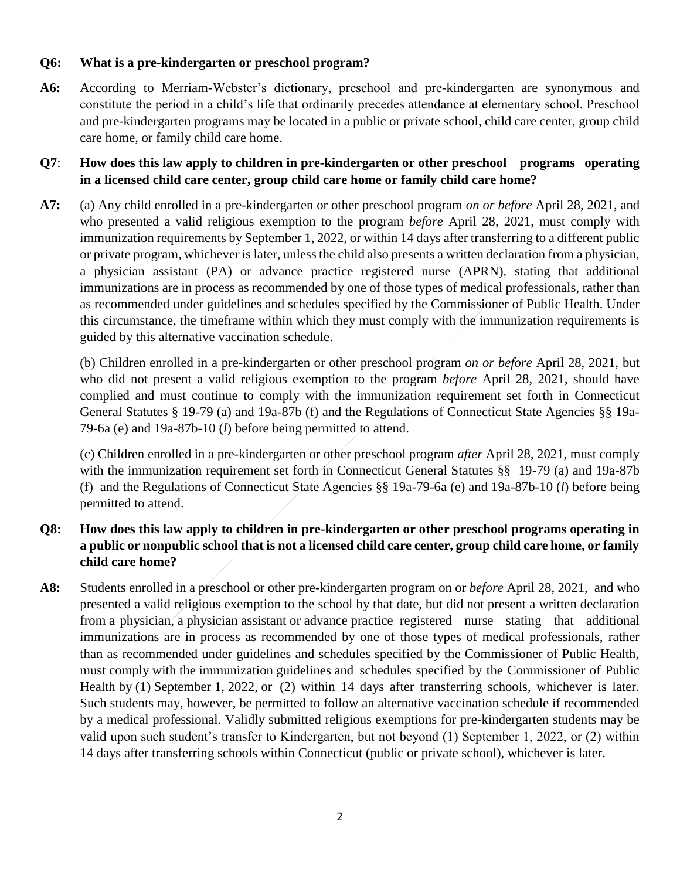#### **Q6: What is a pre-kindergarten or preschool program?**

**A6:** According to Merriam-Webster's dictionary, preschool and pre-kindergarten are synonymous and constitute the period in a child's life that ordinarily precedes attendance at elementary school. Preschool and pre-kindergarten programs may be located in a public or private school, child care center, group child care home, or family child care home.

## **Q7**: **How does this law apply to children in pre-kindergarten or other preschool programs operating in a licensed child care center, group child care home or family child care home?**

**A7:** (a) Any child enrolled in a pre-kindergarten or other preschool program *on or before* April 28, 2021, and who presented a valid religious exemption to the program *before* April 28, 2021, must comply with immunization requirements by September 1, 2022, or within 14 days after transferring to a different public or private program, whichever is later, unless the child also presents a written declaration from a physician, a physician assistant (PA) or advance practice registered nurse (APRN), stating that additional immunizations are in process as recommended by one of those types of medical professionals, rather than as recommended under guidelines and schedules specified by the Commissioner of Public Health. Under this circumstance, the timeframe within which they must comply with the immunization requirements is guided by this alternative vaccination schedule.

(b) Children enrolled in a pre-kindergarten or other preschool program *on or before* April 28, 2021, but who did not present a valid religious exemption to the program *before* April 28, 2021, should have complied and must continue to comply with the immunization requirement set forth in Connecticut General Statutes § 19-79 (a) and 19a-87b (f) and the Regulations of Connecticut State Agencies §§ 19a-79-6a (e) and 19a-87b-10 (*l*) before being permitted to attend.

(c) Children enrolled in a pre-kindergarten or other preschool program *after* April 28, 2021, must comply with the immunization requirement set forth in Connecticut General Statutes §§ 19-79 (a) and 19a-87b (f) and the Regulations of Connecticut State Agencies §§ 19a-79-6a (e) and 19a-87b-10 (*l*) before being permitted to attend.

# **Q8: How does this law apply to children in pre-kindergarten or other preschool programs operating in a public or nonpublic school that is not a licensed child care center, group child care home, or family child care home?**

**A8:** Students enrolled in a preschool or other pre-kindergarten program on or *before* April 28, 2021, and who presented a valid religious exemption to the school by that date, but did not present a written declaration from a physician, a physician assistant or advance practice registered nurse stating that additional immunizations are in process as recommended by one of those types of medical professionals, rather than as recommended under guidelines and schedules specified by the Commissioner of Public Health, must comply with the immunization guidelines and schedules specified by the Commissioner of Public Health by (1) September 1, 2022, or (2) within 14 days after transferring schools, whichever is later. Such students may, however, be permitted to follow an alternative vaccination schedule if recommended by a medical professional. Validly submitted religious exemptions for pre-kindergarten students may be valid upon such student's transfer to Kindergarten, but not beyond (1) September 1, 2022, or (2) within 14 days after transferring schools within Connecticut (public or private school), whichever is later.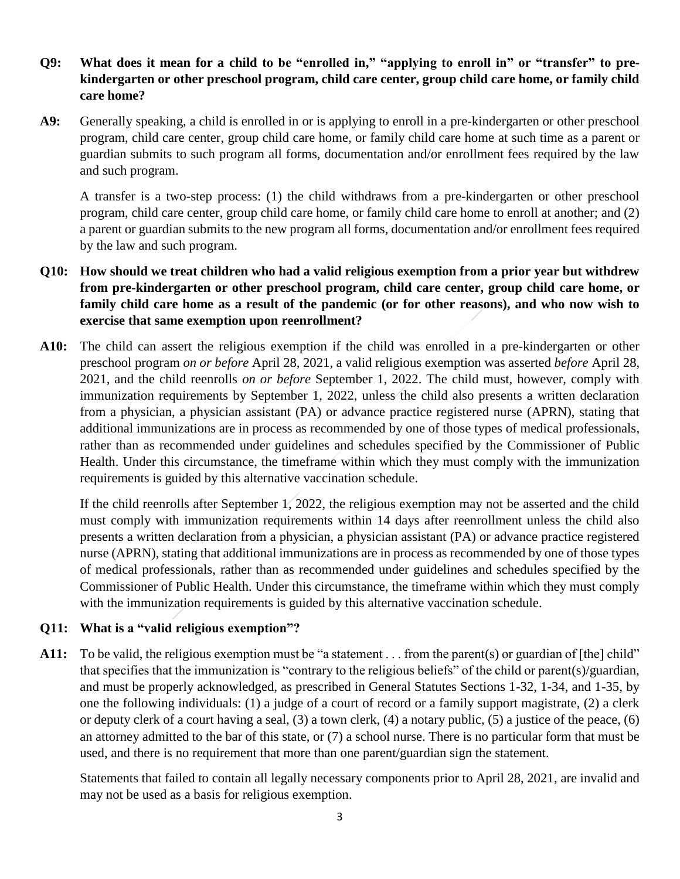## **Q9: What does it mean for a child to be "enrolled in," "applying to enroll in" or "transfer" to prekindergarten or other preschool program, child care center, group child care home, or family child care home?**

**A9:** Generally speaking, a child is enrolled in or is applying to enroll in a pre-kindergarten or other preschool program, child care center, group child care home, or family child care home at such time as a parent or guardian submits to such program all forms, documentation and/or enrollment fees required by the law and such program.

A transfer is a two-step process: (1) the child withdraws from a pre-kindergarten or other preschool program, child care center, group child care home, or family child care home to enroll at another; and (2) a parent or guardian submits to the new program all forms, documentation and/or enrollment fees required by the law and such program.

- **Q10: How should we treat children who had a valid religious exemption from a prior year but withdrew from pre-kindergarten or other preschool program, child care center, group child care home, or family child care home as a result of the pandemic (or for other reasons), and who now wish to exercise that same exemption upon reenrollment?**
- **A10:** The child can assert the religious exemption if the child was enrolled in a pre-kindergarten or other preschool program *on or before* April 28, 2021, a valid religious exemption was asserted *before* April 28, 2021, and the child reenrolls *on or before* September 1, 2022. The child must, however, comply with immunization requirements by September 1, 2022, unless the child also presents a written declaration from a physician, a physician assistant (PA) or advance practice registered nurse (APRN), stating that additional immunizations are in process as recommended by one of those types of medical professionals, rather than as recommended under guidelines and schedules specified by the Commissioner of Public Health. Under this circumstance, the timeframe within which they must comply with the immunization requirements is guided by this alternative vaccination schedule.

If the child reenrolls after September 1, 2022, the religious exemption may not be asserted and the child must comply with immunization requirements within 14 days after reenrollment unless the child also presents a written declaration from a physician, a physician assistant (PA) or advance practice registered nurse (APRN), stating that additional immunizations are in process as recommended by one of those types of medical professionals, rather than as recommended under guidelines and schedules specified by the Commissioner of Public Health. Under this circumstance, the timeframe within which they must comply with the immunization requirements is guided by this alternative vaccination schedule.

## **Q11: What is a "valid religious exemption"?**

A11: To be valid, the religious exemption must be "a statement . . . from the parent(s) or guardian of [the] child" that specifies that the immunization is "contrary to the religious beliefs" of the child or parent(s)/guardian, and must be properly acknowledged, as prescribed in General Statutes Sections 1-32, 1-34, and 1-35, by one the following individuals: (1) a judge of a court of record or a family support magistrate, (2) a clerk or deputy clerk of a court having a seal, (3) a town clerk, (4) a notary public, (5) a justice of the peace, (6) an attorney admitted to the bar of this state, or (7) a school nurse. There is no particular form that must be used, and there is no requirement that more than one parent/guardian sign the statement.

Statements that failed to contain all legally necessary components prior to April 28, 2021, are invalid and may not be used as a basis for religious exemption.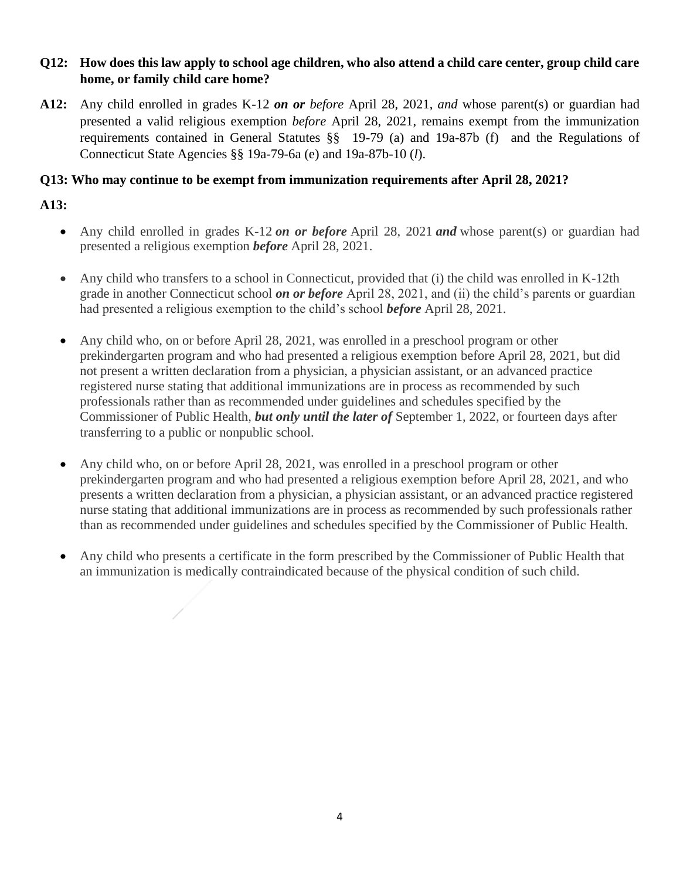## **Q12: How does this law apply to school age children, who also attend a child care center, group child care home, or family child care home?**

**A12:** Any child enrolled in grades K-12 *on or before* April 28, 2021, *and* whose parent(s) or guardian had presented a valid religious exemption *before* April 28, 2021, remains exempt from the immunization requirements contained in General Statutes §§ 19-79 (a) and 19a-87b (f) and the Regulations of Connecticut State Agencies §§ 19a-79-6a (e) and 19a-87b-10 (*l*).

## **Q13: Who may continue to be exempt from immunization requirements after April 28, 2021?**

# **A13:**

- Any child enrolled in grades K-12 *on or before* April 28, 2021 *and* whose parent(s) or guardian had presented a religious exemption *before* April 28, 2021.
- Any child who transfers to a school in Connecticut, provided that (i) the child was enrolled in K-12th grade in another Connecticut school *on or before* April 28, 2021, and (ii) the child's parents or guardian had presented a religious exemption to the child's school *before* April 28, 2021.
- Any child who, on or before April 28, 2021, was enrolled in a preschool program or other prekindergarten program and who had presented a religious exemption before April 28, 2021, but did not present a written declaration from a physician, a physician assistant, or an advanced practice registered nurse stating that additional immunizations are in process as recommended by such professionals rather than as recommended under guidelines and schedules specified by the Commissioner of Public Health, *but only until the later of* September 1, 2022, or fourteen days after transferring to a public or nonpublic school.
- Any child who, on or before April 28, 2021, was enrolled in a preschool program or other prekindergarten program and who had presented a religious exemption before April 28, 2021, and who presents a written declaration from a physician, a physician assistant, or an advanced practice registered nurse stating that additional immunizations are in process as recommended by such professionals rather than as recommended under guidelines and schedules specified by the Commissioner of Public Health.
- Any child who presents a certificate in the form prescribed by the Commissioner of Public Health that an immunization is medically contraindicated because of the physical condition of such child.